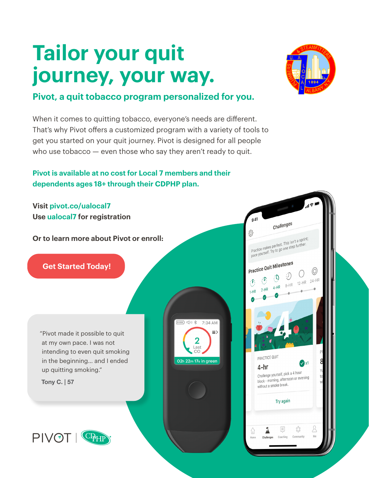# **Tailor your quit journey, your way.**



### **Pivot, a quit tobacco program personalized for you.**

When it comes to quitting tobacco, everyone's needs are different. That's why Pivot offers a customized program with a variety of tools to get you started on your quit journey. Pivot is designed for all people who use tobacco — even those who say they aren't ready to quit.

#### **Pivot is available at no cost for Local 7 members and their dependents ages 18+ through their CDPHP plan.**

**Visit [pivot.co/ualocal7](https://account.pivot.co/partner/ualocal7?utm_source=CDPHP_ASO&utm_medium=eflyer&utm_campaign=launch_flyer&access_code=ualocal7) Use ualocal7 for registration**

**Or to learn more about Pivot or enroll:**

 **[Get Started Today!](https://account.pivot.co/partner/ualocal7?utm_source=CDPHP_ASO&utm_medium=eflyer&utm_campaign=launch_flyer&access_code=ualocal7)**

"Pivot made it possible to quit at my own pace. I was not intending to even quit smoking in the beginning… and I ended up quitting smoking."

**Tony C. | 57**